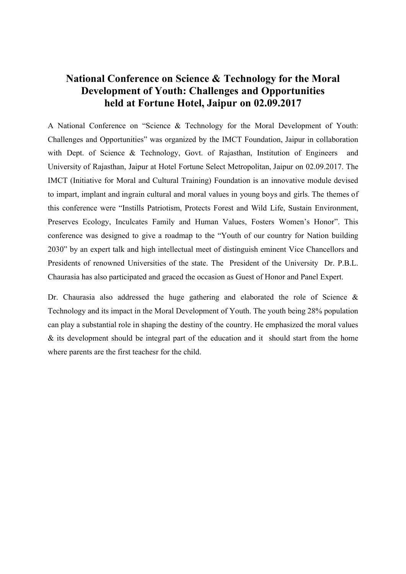## National Conference on Science & Technology for the Moral Development of Youth: Challenges and Opportunities held at Fortune Hotel, Jaipur on 02.09.2017

A National Conference on "Science & Technology for the Moral Development of Youth: Challenges and Opportunities" was organized by the IMCT Foundation, Jaipur in collaboration with Dept. of Science & Technology, Govt. of Rajasthan, Institution of Engineers and University of Rajasthan, Jaipur at Hotel Fortune Select Metropolitan, Jaipur on 02.09.2017. The IMCT (Initiative for Moral and Cultural Training) Foundation is an innovative module devised to impart, implant and ingrain cultural and moral values in young boys and girls. The themes of this conference were "Instills Patriotism, Protects Forest and Wild Life, Sustain Environment, Preserves Ecology, Inculcates Family and Human Values, Fosters Women's Honor". This conference was designed to give a roadmap to the "Youth of our country for Nation building 2030" by an expert talk and high intellectual meet of distinguish eminent Vice Chancellors and Presidents of renowned Universities of the state. The President of the University Dr. P.B.L. Chaurasia has also participated and graced the occasion as Guest of Honor and Panel Expert.

Dr. Chaurasia also addressed the huge gathering and elaborated the role of Science & Technology and its impact in the Moral Development of Youth. The youth being 28% population can play a substantial role in shaping the destiny of the country. He emphasized the moral values & its development should be integral part of the education and it should start from the home where parents are the first teachesr for the child.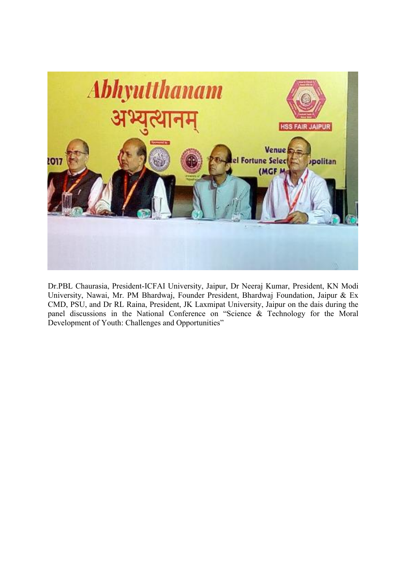

Dr.PBL Chaurasia, President-ICFAI University, Jaipur, Dr Neeraj Kumar, President, KN Modi University, Nawai, Mr. PM Bhardwaj, Founder President, Bhardwaj Foundation, Jaipur & Ex CMD, PSU, and Dr RL Raina, President, JK Laxmipat University, Jaipur on the dais during the panel discussions in the National Conference on "Science & Technology for the Moral Development of Youth: Challenges and Opportunities"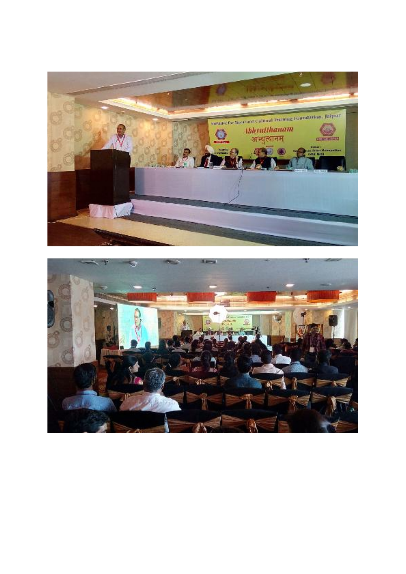